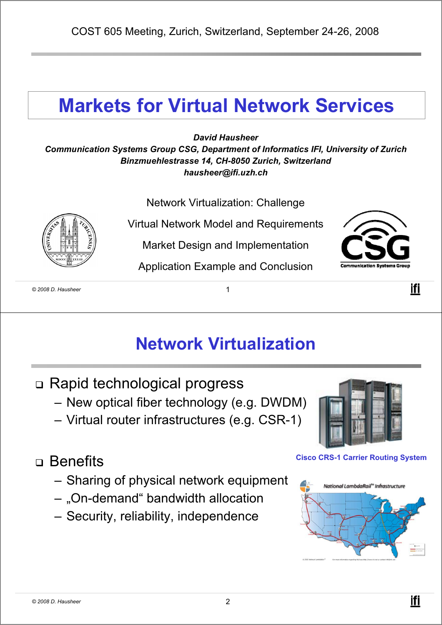## **Markets for Virtual Network Services**

*David Hausheer*

*Communication Systems Group CSG, Department of Informatics IFI, University of Zurich Binzmuehlestrasse 14, CH-8050 Zurich, Switzerland hausheer@ifi.uzh.ch*

Network Virtualization: Challenge

Virtual Network Model and Requirements

Market Design and Implementation

Application Example and Conclusion



ifi

*© 2008 D. Hausheer* 1

#### **Network Virtualization**

- Rapid technological progress
	- New optical fiber technology (e.g. DWDM)
	- Virtual router infrastructures (e.g. CSR-1)

#### n Benefits

- Sharing of physical network equipment
- "On-demand" bandwidth allocation
- Security, reliability, independence



#### **Cisco CRS-1 Carrier Routing System**

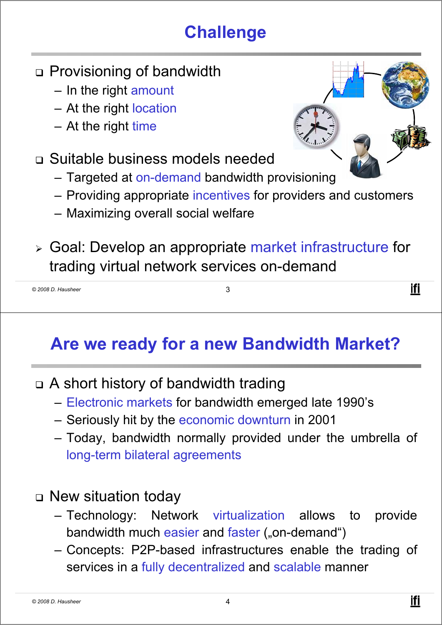# **Challenge**

- Provisioning of bandwidth
	- In the right amount
	- At the right location
	- At the right time
- Suitable business models needed
	- Targeted at on-demand bandwidth provisioning
	- Providing appropriate incentives for providers and customers
	- Maximizing overall social welfare
- <sup>¾</sup> Goal: Develop an appropriate market infrastructure for trading virtual network services on-demand

| © 2008 D. Hausheer | . . |
|--------------------|-----|
|                    |     |

#### **Are we ready for a new Bandwidth Market?**

- A short history of bandwidth trading
	- Electronic markets for bandwidth emerged late 1990's
	- Seriously hit by the economic downturn in 2001
	- Today, bandwidth normally provided under the umbrella of long-term bilateral agreements
- New situation today
	- Technology: Network virtualization allows to provide bandwidth much easier and faster ("on-demand")
	- Concepts: P2P-based infrastructures enable the trading of services in a fully decentralized and scalable manner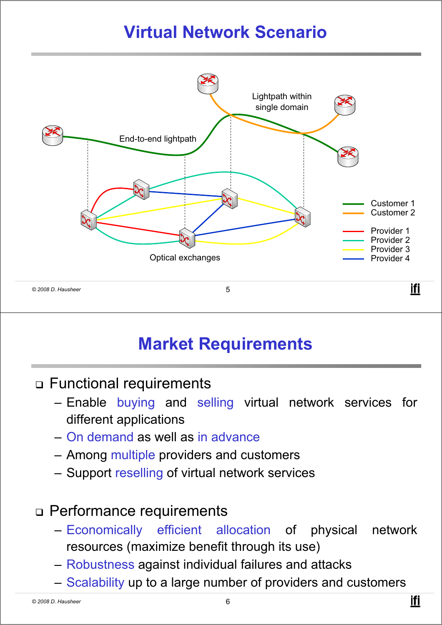# **Virtual Network Scenario**



### **Market Requirements**

- Functional requirements
	- Enable buying and selling virtual network services for different applications
	- On demand as well as in advance
	- Among multiple providers and customers
	- Support reselling of virtual network services

#### Performance requirements

- Economically efficient allocation of physical network resources (maximize benefit through its use)
- Robustness against individual failures and attacks
- Scalability up to a large number of providers and customers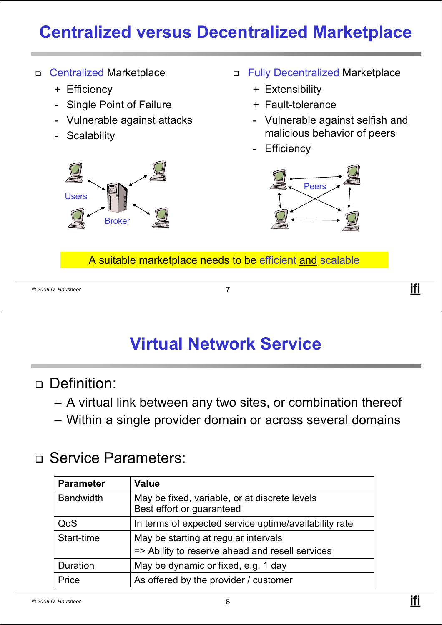# **Centralized versus Decentralized Marketplace**

- Centralized Marketplace
	- + Efficiency
	- Single Point of Failure
	- Vulnerable against attacks
	- Scalability



- Fully Decentralized Marketplace
	- + Extensibility
	- + Fault-tolerance
	- Vulnerable against selfish and malicious behavior of peers
	- **Efficiency**



A suitable marketplace needs to be efficient and scalable

```
© 2008 D. Hausheer 7
```
#### **Virtual Network Service**

- Definition:
	- A virtual link between any two sites, or combination thereof
	- Within a single provider domain or across several domains

#### □ Service Parameters:

| <b>Parameter</b> | <b>Value</b>                                                                            |
|------------------|-----------------------------------------------------------------------------------------|
| <b>Bandwidth</b> | May be fixed, variable, or at discrete levels<br>Best effort or guaranteed              |
| QoS              | In terms of expected service uptime/availability rate                                   |
| Start-time       | May be starting at regular intervals<br>=> Ability to reserve ahead and resell services |
| Duration         | May be dynamic or fixed, e.g. 1 day                                                     |
| Price            | As offered by the provider / customer                                                   |

ifi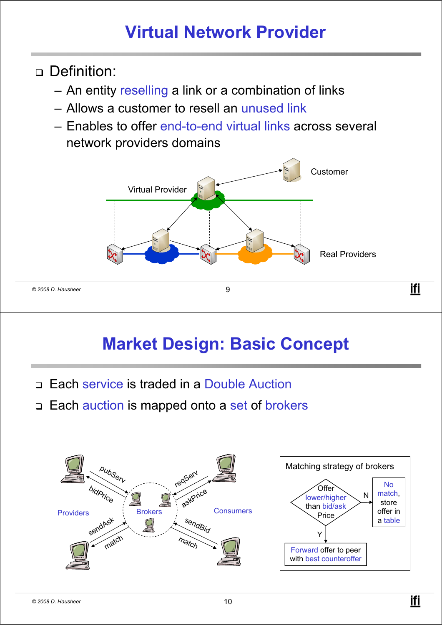### **Virtual Network Provider**

- n Definition<sup>.</sup>
	- An entity reselling a link or a combination of links
	- Allows a customer to resell an unused link
	- Enables to offer end-to-end virtual links across several network providers domains



#### **Market Design: Basic Concept**

- □ Each service is traded in a Double Auction
- □ Each auction is mapped onto a set of brokers

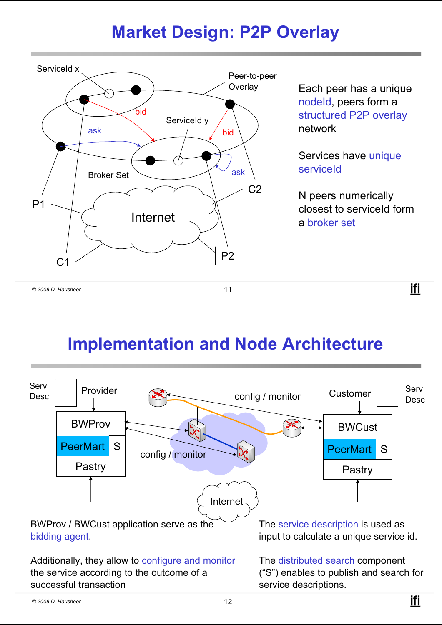### **Market Design: P2P Overlay**



Each peer has a unique nodeId, peers form a structured P2P overlay network

Services have unique serviceId

N peers numerically closest to serviceId form a broker set

ifi

### **Implementation and Node Architecture**

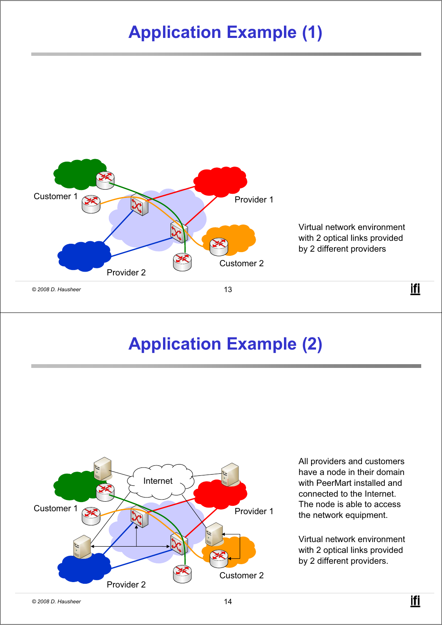# **Application Example (1)**



#### **Application Example (2)**



All providers and customers have a node in their domain with PeerMart installed and connected to the Internet. The node is able to access the network equipment.

Virtual network environment with 2 optical links provided by 2 different providers.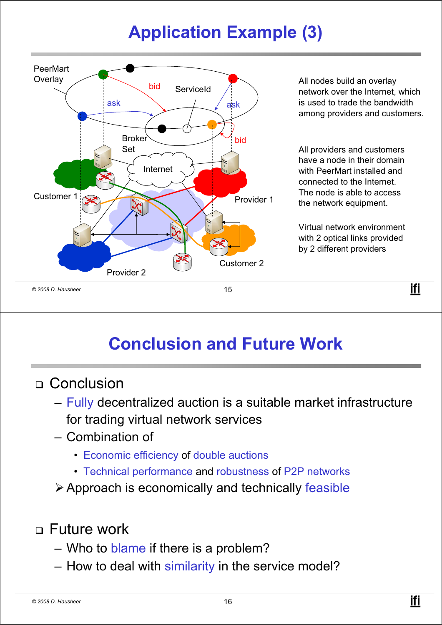# **Application Example (3)**



### **Conclusion and Future Work**

#### □ Conclusion

- Fully decentralized auction is a suitable market infrastructure for trading virtual network services
- Combination of
	- Economic efficiency of double auctions
	- Technical performance and robustness of P2P networks
- ¾Approach is economically and technically feasible

#### Future work

- Who to blame if there is a problem?
- How to deal with similarity in the service model?